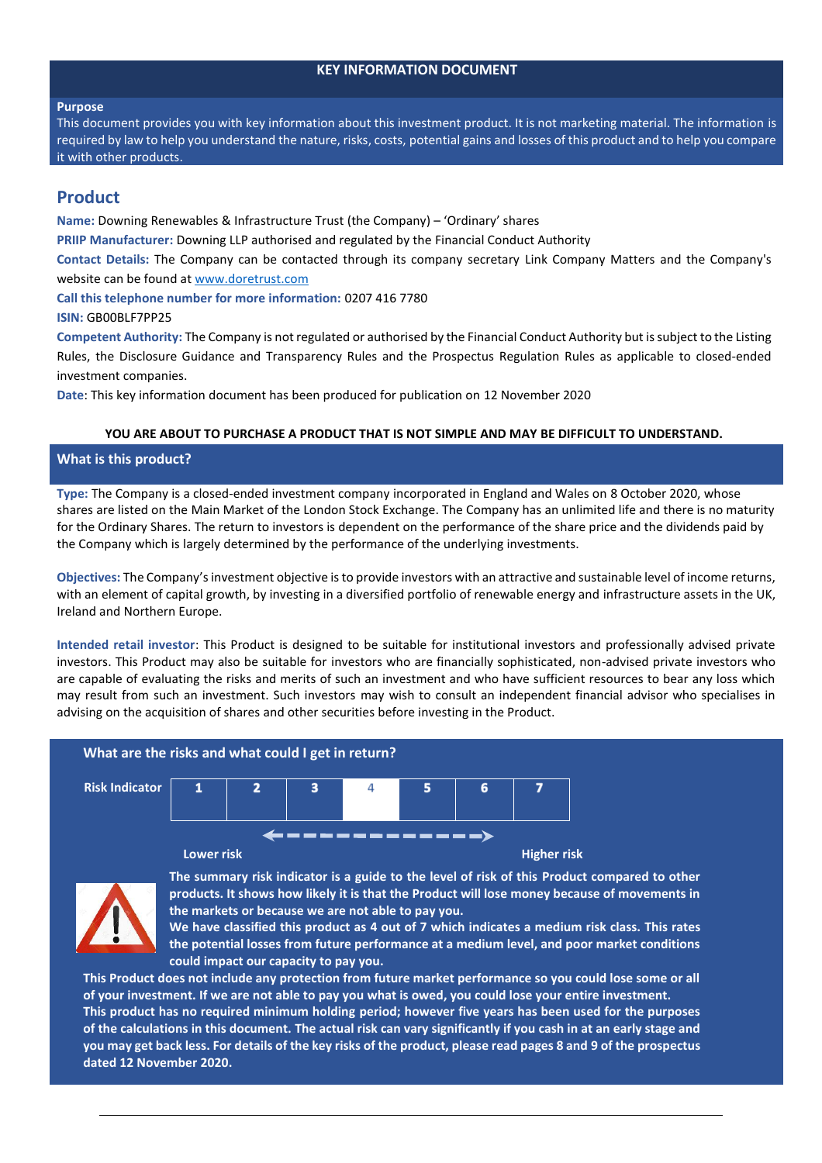## **KEY INFORMATION DOCUMENT**

#### **Purpose**

This document provides you with key information about this investment product. It is not marketing material. The information is required by law to help you understand the nature, risks, costs, potential gains and losses of this product and to help you compare it with other products.

# **Product**

**Name:** Downing Renewables & Infrastructure Trust (the Company) – 'Ordinary' shares

**PRIIP Manufacturer:** Downing LLP authorised and regulated by the Financial Conduct Authority

**Contact Details:** The Company can be contacted through its company secretary Link Company Matters and the Company's website can be found at [www.doretrust.com](http://www.doretrust.com/)

**Call this telephone number for more information:** 0207 416 7780

## **ISIN:** GB00BLF7PP25

**Competent Authority:** The Company is not regulated or authorised by the Financial Conduct Authority but is subject to the Listing Rules, the Disclosure Guidance and Transparency Rules and the Prospectus Regulation Rules as applicable to closed-ended investment companies.

**Date**: This key information document has been produced for publication on 12 November 2020

## **YOU ARE ABOUT TO PURCHASE A PRODUCT THAT IS NOT SIMPLE AND MAY BE DIFFICULT TO UNDERSTAND.**

## **What is this product?**

**Type:** The Company is a closed-ended investment company incorporated in England and Wales on 8 October 2020, whose shares are listed on the Main Market of the London Stock Exchange. The Company has an unlimited life and there is no maturity for the Ordinary Shares. The return to investors is dependent on the performance of the share price and the dividends paid by the Company which is largely determined by the performance of the underlying investments.

**Objectives:** The Company's investment objective is to provide investors with an attractive and sustainable level of income returns, with an element of capital growth, by investing in a diversified portfolio of renewable energy and infrastructure assets in the UK, Ireland and Northern Europe.

**Intended retail investor**: This Product is designed to be suitable for institutional investors and professionally advised private investors. This Product may also be suitable for investors who are financially sophisticated, non-advised private investors who are capable of evaluating the risks and merits of such an investment and who have sufficient resources to bear any loss which may result from such an investment. Such investors may wish to consult an independent financial advisor who specialises in advising on the acquisition of shares and other securities before investing in the Product.





**The summary risk indicator is a guide to the level of risk of this Product compared to other products. It shows how likely it is that the Product will lose money because of movements in the markets or because we are not able to pay you.** 

**We have classified this product as 4 out of 7 which indicates a medium risk class. This rates the potential losses from future performance at a medium level, and poor market conditions could impact our capacity to pay you.** 

**This Product does not include any protection from future market performance so you could lose some or all of your investment. If we are not able to pay you what is owed, you could lose your entire investment. This product has no required minimum holding period; however five years has been used for the purposes of the calculations in this document. The actual risk can vary significantly if you cash in at an early stage and you may get back less. For details of the key risks of the product, please read pages 8 and 9 of the prospectus dated 12 November 2020.**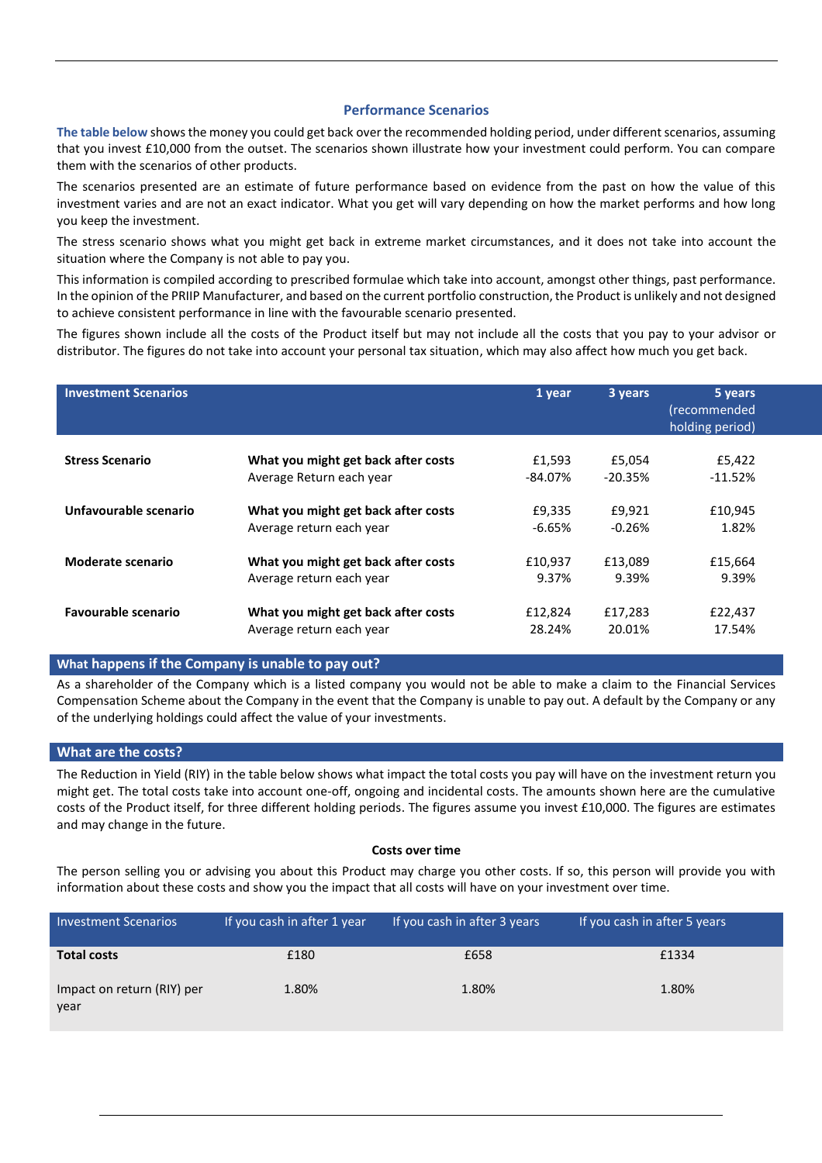## **Performance Scenarios**

**The table below** shows the money you could get back over the recommended holding period, under different scenarios, assuming that you invest £10,000 from the outset. The scenarios shown illustrate how your investment could perform. You can compare them with the scenarios of other products.

The scenarios presented are an estimate of future performance based on evidence from the past on how the value of this investment varies and are not an exact indicator. What you get will vary depending on how the market performs and how long you keep the investment.

The stress scenario shows what you might get back in extreme market circumstances, and it does not take into account the situation where the Company is not able to pay you.

This information is compiled according to prescribed formulae which take into account, amongst other things, past performance. In the opinion of the PRIIP Manufacturer, and based on the current portfolio construction, the Product is unlikely and not designed to achieve consistent performance in line with the favourable scenario presented.

The figures shown include all the costs of the Product itself but may not include all the costs that you pay to your advisor or distributor. The figures do not take into account your personal tax situation, which may also affect how much you get back.

| <b>Investment Scenarios</b> |                                     | 1 year     | 3 years   | 5 years<br>(recommended<br>holding period) |
|-----------------------------|-------------------------------------|------------|-----------|--------------------------------------------|
| <b>Stress Scenario</b>      | What you might get back after costs | £1,593     | £5,054    | £5,422                                     |
|                             | Average Return each year            | $-84.07\%$ | $-20.35%$ | $-11.52%$                                  |
| Unfavourable scenario       | What you might get back after costs | £9,335     | £9,921    | £10,945                                    |
|                             | Average return each year            | $-6.65\%$  | $-0.26%$  | 1.82%                                      |
| Moderate scenario           | What you might get back after costs | £10,937    | £13,089   | £15,664                                    |
|                             | Average return each year            | 9.37%      | 9.39%     | 9.39%                                      |
| <b>Favourable scenario</b>  | What you might get back after costs | £12,824    | £17,283   | £22,437                                    |
|                             | Average return each year            | 28.24%     | 20.01%    | 17.54%                                     |

## **What happens if the Company is unable to pay out?**

As a shareholder of the Company which is a listed company you would not be able to make a claim to the Financial Services Compensation Scheme about the Company in the event that the Company is unable to pay out. A default by the Company or any of the underlying holdings could affect the value of your investments.

## **What are the costs?**

The Reduction in Yield (RIY) in the table below shows what impact the total costs you pay will have on the investment return you might get. The total costs take into account one-off, ongoing and incidental costs. The amounts shown here are the cumulative costs of the Product itself, for three different holding periods. The figures assume you invest £10,000. The figures are estimates and may change in the future.

## **Costs over time**

The person selling you or advising you about this Product may charge you other costs. If so, this person will provide you with information about these costs and show you the impact that all costs will have on your investment over time.

| <b>Investment Scenarios</b>        | If you cash in after 1 year | If you cash in after 3 years | If you cash in after 5 years |
|------------------------------------|-----------------------------|------------------------------|------------------------------|
| <b>Total costs</b>                 | £180                        | £658                         | £1334                        |
| Impact on return (RIY) per<br>year | 1.80%                       | 1.80%                        | 1.80%                        |